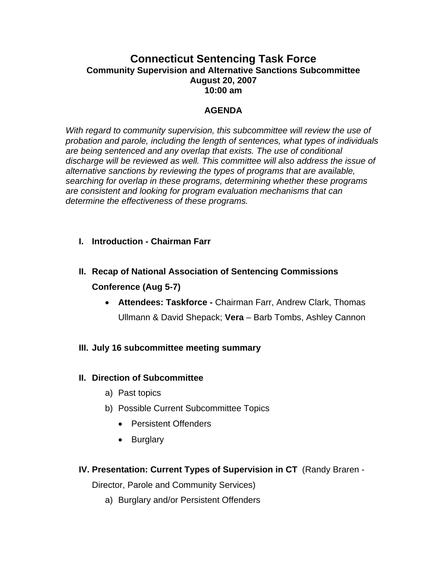## **Connecticut Sentencing Task Force Community Supervision and Alternative Sanctions Subcommittee August 20, 2007 10:00 am**

### **AGENDA**

*With regard to community supervision, this subcommittee will review the use of probation and parole, including the length of sentences, what types of individuals are being sentenced and any overlap that exists. The use of conditional discharge will be reviewed as well. This committee will also address the issue of alternative sanctions by reviewing the types of programs that are available, searching for overlap in these programs, determining whether these programs are consistent and looking for program evaluation mechanisms that can determine the effectiveness of these programs.*

- **I. Introduction Chairman Farr**
- **II. Recap of National Association of Sentencing Commissions Conference (Aug 5-7)** 
	- **Attendees: Taskforce** Chairman Farr, Andrew Clark, Thomas Ullmann & David Shepack; **Vera** – Barb Tombs, Ashley Cannon
- **III. July 16 subcommittee meeting summary**

### **II. Direction of Subcommittee**

- a) Past topics
- b) Possible Current Subcommittee Topics
	- Persistent Offenders
	- Burglary
- **IV. Presentation: Current Types of Supervision in CT** (Randy Braren -

Director, Parole and Community Services)

a) Burglary and/or Persistent Offenders